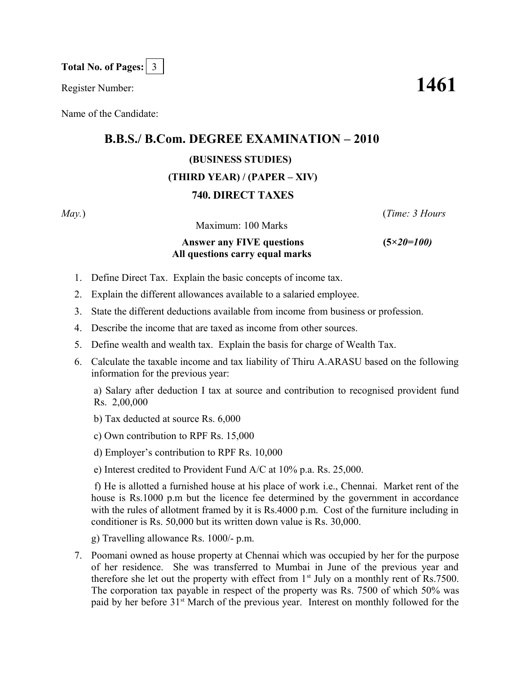**Total No. of Pages:** 3

Register Number: **1461**

Name of the Candidate:

## **B.B.S./ B.Com. DEGREE EXAMINATION – 2010**

## **(BUSINESS STUDIES)**

## **(THIRD YEAR) / (PAPER – XIV)**

## **740. DIRECT TAXES**

Maximum: 100 Marks

*May.*) (*Time: 3 Hours*

 **Answer any FIVE questions (5***×20=100)* **All questions carry equal marks**

- 1. Define Direct Tax. Explain the basic concepts of income tax.
- 2. Explain the different allowances available to a salaried employee.
- 3. State the different deductions available from income from business or profession.
- 4. Describe the income that are taxed as income from other sources.
- 5. Define wealth and wealth tax. Explain the basis for charge of Wealth Tax.
- 6. Calculate the taxable income and tax liability of Thiru A.ARASU based on the following information for the previous year:

a) Salary after deduction I tax at source and contribution to recognised provident fund Rs. 2,00,000

b) Tax deducted at source Rs. 6,000

c) Own contribution to RPF Rs. 15,000

d) Employer's contribution to RPF Rs. 10,000

e) Interest credited to Provident Fund A/C at 10% p.a. Rs. 25,000.

 f) He is allotted a furnished house at his place of work i.e., Chennai. Market rent of the house is Rs.1000 p.m but the licence fee determined by the government in accordance with the rules of allotment framed by it is Rs.4000 p.m. Cost of the furniture including in conditioner is Rs. 50,000 but its written down value is Rs. 30,000.

g) Travelling allowance Rs. 1000/- p.m.

7. Poomani owned as house property at Chennai which was occupied by her for the purpose of her residence. She was transferred to Mumbai in June of the previous year and therefore she let out the property with effect from  $1<sup>st</sup>$  July on a monthly rent of Rs.7500. The corporation tax payable in respect of the property was Rs. 7500 of which 50% was paid by her before 31<sup>st</sup> March of the previous year. Interest on monthly followed for the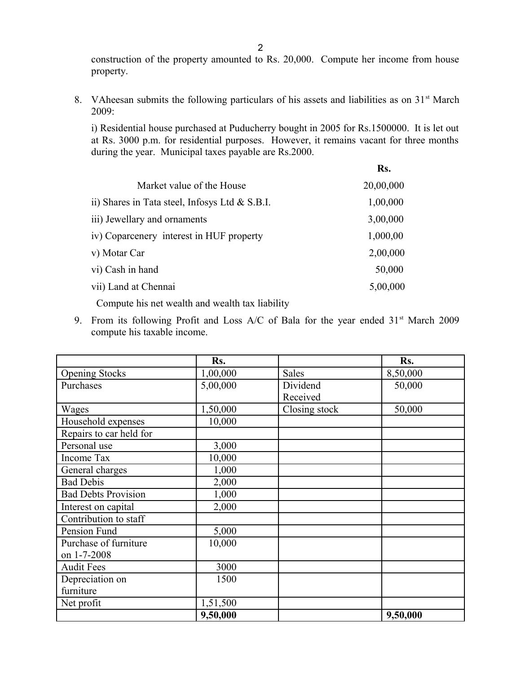construction of the property amounted to Rs. 20,000. Compute her income from house property.

8. VAheesan submits the following particulars of his assets and liabilities as on  $31<sup>st</sup>$  March 2009:

i) Residential house purchased at Puducherry bought in 2005 for Rs.1500000. It is let out at Rs. 3000 p.m. for residential purposes. However, it remains vacant for three months during the year. Municipal taxes payable are Rs.2000.

| 20,00,000 |
|-----------|
|           |
| 1,00,000  |
| 3,00,000  |
| 1,000,00  |
| 2,00,000  |
| 50,000    |
| 5,00,000  |
|           |

Compute his net wealth and wealth tax liability

9. From its following Profit and Loss A/C of Bala for the year ended  $31<sup>st</sup>$  March 2009 compute his taxable income.

|                            | Rs.      |               | Rs.      |
|----------------------------|----------|---------------|----------|
| <b>Opening Stocks</b>      | 1,00,000 | <b>Sales</b>  | 8,50,000 |
| Purchases                  | 5,00,000 | Dividend      | 50,000   |
|                            |          | Received      |          |
| Wages                      | 1,50,000 | Closing stock | 50,000   |
| Household expenses         | 10,000   |               |          |
| Repairs to car held for    |          |               |          |
| Personal use               | 3,000    |               |          |
| <b>Income Tax</b>          | 10,000   |               |          |
| General charges            | 1,000    |               |          |
| <b>Bad Debis</b>           | 2,000    |               |          |
| <b>Bad Debts Provision</b> | 1,000    |               |          |
| Interest on capital        | 2,000    |               |          |
| Contribution to staff      |          |               |          |
| Pension Fund               | 5,000    |               |          |
| Purchase of furniture      | 10,000   |               |          |
| on 1-7-2008                |          |               |          |
| <b>Audit Fees</b>          | 3000     |               |          |
| Depreciation on            | 1500     |               |          |
| furniture                  |          |               |          |
| Net profit                 | 1,51,500 |               |          |
|                            | 9,50,000 |               | 9,50,000 |